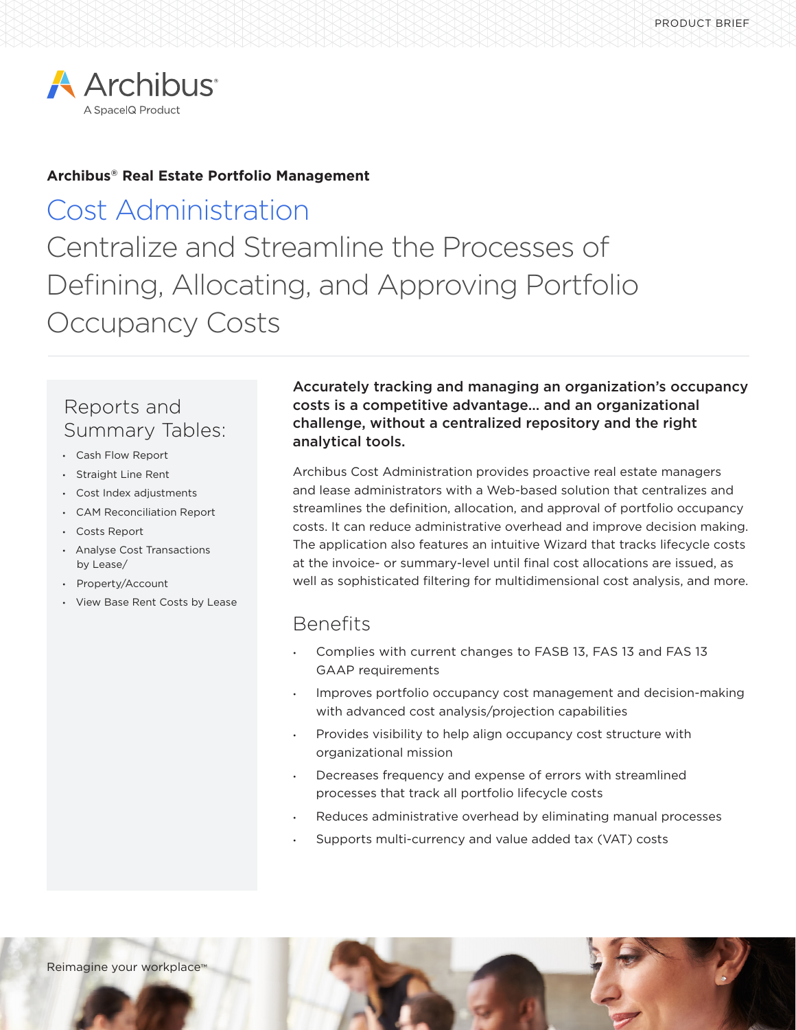

### **Archibus® Real Estate Portfolio Management**

# Cost Administration Centralize and Streamline the Processes of Defining, Allocating, and Approving Portfolio Occupancy Costs

## Reports and Summary Tables:

- Cash Flow Report
- Straight Line Rent
- Cost Index adjustments
- CAM Reconciliation Report
- Costs Report
- Analyse Cost Transactions by Lease/
- Property/Account
- View Base Rent Costs by Lease

Accurately tracking and managing an organization's occupancy costs is a competitive advantage… and an organizational challenge, without a centralized repository and the right analytical tools.

Archibus Cost Administration provides proactive real estate managers and lease administrators with a Web-based solution that centralizes and streamlines the definition, allocation, and approval of portfolio occupancy costs. It can reduce administrative overhead and improve decision making. The application also features an intuitive Wizard that tracks lifecycle costs at the invoice- or summary-level until final cost allocations are issued, as well as sophisticated filtering for multidimensional cost analysis, and more.

### Benefits

- Complies with current changes to FASB 13, FAS 13 and FAS 13 GAAP requirements
- Improves portfolio occupancy cost management and decision-making with advanced cost analysis/projection capabilities
- Provides visibility to help align occupancy cost structure with organizational mission
- Decreases frequency and expense of errors with streamlined processes that track all portfolio lifecycle costs
- Reduces administrative overhead by eliminating manual processes
- Supports multi-currency and value added tax (VAT) costs

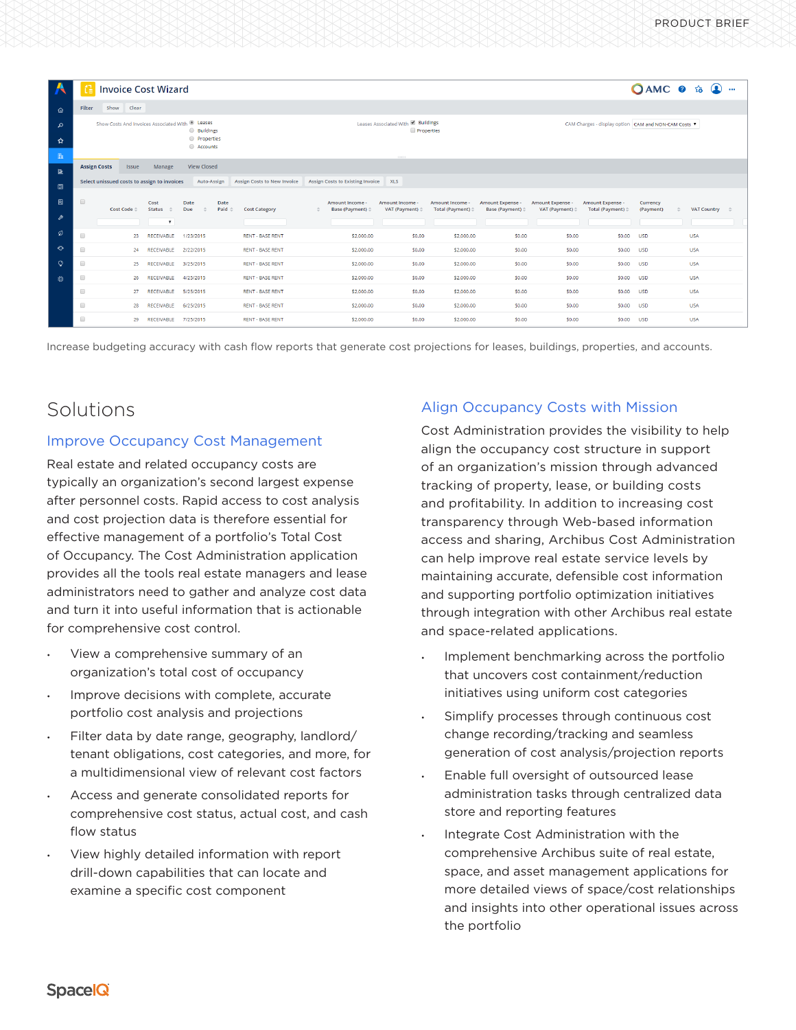| $\overline{\mathbf{A}}$ | <b>Invoice Cost Wizard</b>                                                                                       |                                                                                                                                                    |                           |                                                   |                                                  |                                       |                                                |                                                    |                                                   |                                                 |                       | OAMC 0 to 0<br>$\cdots$   |  |
|-------------------------|------------------------------------------------------------------------------------------------------------------|----------------------------------------------------------------------------------------------------------------------------------------------------|---------------------------|---------------------------------------------------|--------------------------------------------------|---------------------------------------|------------------------------------------------|----------------------------------------------------|---------------------------------------------------|-------------------------------------------------|-----------------------|---------------------------|--|
| ⋒                       | Show Clear<br>Filter                                                                                             |                                                                                                                                                    |                           |                                                   |                                                  |                                       |                                                |                                                    |                                                   |                                                 |                       |                           |  |
| $\mathfrak{O}$<br>☆     | Show Costs And Invoices Associated With <sup>@</sup> Leases<br><b>Buildings</b><br><b>Properties</b><br>Accounts |                                                                                                                                                    |                           |                                                   | Leases Associated With & Buildings<br>Properties |                                       |                                                | CAM Charges - display option CAM and NON-CAM Costs |                                                   |                                                 |                       |                           |  |
| n                       | 111111                                                                                                           |                                                                                                                                                    |                           |                                                   |                                                  |                                       |                                                |                                                    |                                                   |                                                 |                       |                           |  |
| 固                       | <b>Assign Costs</b>                                                                                              | <b>Issue</b><br>Manage                                                                                                                             | <b>View Closed</b>        |                                                   |                                                  |                                       |                                                |                                                    |                                                   |                                                 |                       |                           |  |
| 圕                       |                                                                                                                  | Assign Costs to Existing Invoice<br>Select unissued costs to assign to invoices<br>Auto-Assign<br><b>Assign Costs to New Invoice</b><br><b>XLS</b> |                           |                                                   |                                                  |                                       |                                                |                                                    |                                                   |                                                 |                       |                           |  |
| 目                       | $\qquad \qquad \Box$                                                                                             | Cost<br>Cost Code $\doteqdot$<br><b>Status</b>                                                                                                     | Date<br>Due               | Date<br>Paid $\triangleq$<br><b>Cost Category</b> | Amount Income<br><b>Base (Payment)</b>           | <b>Amount Income</b><br>VAT (Payment) | Amount Income -<br>Total (Payment) $\doteqdot$ | Amount Expense -<br>Base (Payment) $\doteq$        | Amount Expense<br>VAT (Payment) $\Leftrightarrow$ | Amount Expense -<br>Total (Payment) $\doteqdot$ | Currency<br>(Payment) | VAT Country $\Rightarrow$ |  |
| ₽                       |                                                                                                                  |                                                                                                                                                    | $\boldsymbol{\mathrm{v}}$ |                                                   |                                                  |                                       |                                                |                                                    |                                                   |                                                 |                       |                           |  |
| Ø                       | $\Box$                                                                                                           | 23<br><b>RECEIVABLE</b>                                                                                                                            | 1/23/2015                 | <b>RENT - BASE RENT</b>                           | \$2,000.00                                       | \$0.00                                | \$2,000.00                                     | \$0.00                                             | \$0,00                                            | \$0.00                                          | <b>USD</b>            | <b>USA</b>                |  |
| $\bullet$               | $\qquad \qquad \Box$                                                                                             | 24<br><b>RECEIVABLE</b>                                                                                                                            | 2/22/2015                 | <b>RENT - BASE RENT</b>                           | \$2,000.00                                       | \$0.00                                | \$2,000.00                                     | \$0.00                                             | \$0.00                                            | \$0.00                                          | <b>USD</b>            | <b>USA</b>                |  |
| $\circ$                 | $\Box$                                                                                                           | 25<br><b>RECEIVABLE</b>                                                                                                                            | 3/25/2015                 | <b>RENT - BASE RENT</b>                           | \$2,000.00                                       | \$0.00                                | \$2,000.00                                     | \$0.00                                             | \$0.00                                            | \$0.00                                          | <b>USD</b>            | <b>USA</b>                |  |
| ٨                       | $\Box$                                                                                                           | <b>RECEIVABLE</b><br>26                                                                                                                            | 4/25/2015                 | <b>RENT - BASE RENT</b>                           | \$2,000.00                                       | \$0.00                                | \$2,000.00                                     | \$0.00                                             | \$0.00                                            | \$0,00                                          | <b>USD</b>            | <b>USA</b>                |  |
|                         | $\qquad \qquad \Box$                                                                                             | 27<br><b>RECEIVABLE</b>                                                                                                                            | 5/25/2015                 | <b>RENT - BASE RENT</b>                           | \$2,000.00                                       | \$0.00                                | \$2,000.00                                     | \$0.00                                             | \$0.00                                            | \$0.00                                          | <b>USD</b>            | <b>USA</b>                |  |
|                         | $\qquad \qquad \Box$                                                                                             | 28<br><b>RECEIVABLE</b>                                                                                                                            | 6/25/2015                 | <b>RENT - BASE RENT</b>                           | \$2,000.00                                       | \$0.00                                | \$2,000.00                                     | \$0.00                                             | \$0.00                                            | \$0.00                                          | <b>USD</b>            | <b>USA</b>                |  |
|                         | $\qquad \qquad \Box$                                                                                             | 29<br><b>RECEIVABLE</b>                                                                                                                            | 7/25/2015                 | <b>RENT - BASE RENT</b>                           | \$2,000.00                                       | \$0.00                                | \$2,000.00                                     | \$0.00                                             | \$0.00                                            | \$0.00                                          | <b>USD</b>            | <b>USA</b>                |  |

Increase budgeting accuracy with cash flow reports that generate cost projections for leases, buildings, properties, and accounts.

# Solutions

### Improve Occupancy Cost Management

Real estate and related occupancy costs are typically an organization's second largest expense after personnel costs. Rapid access to cost analysis and cost projection data is therefore essential for effective management of a portfolio's Total Cost of Occupancy. The Cost Administration application provides all the tools real estate managers and lease administrators need to gather and analyze cost data and turn it into useful information that is actionable for comprehensive cost control.

- View a comprehensive summary of an organization's total cost of occupancy
- Improve decisions with complete, accurate portfolio cost analysis and projections
- Filter data by date range, geography, landlord/ tenant obligations, cost categories, and more, for a multidimensional view of relevant cost factors
- Access and generate consolidated reports for comprehensive cost status, actual cost, and cash flow status
- View highly detailed information with report drill-down capabilities that can locate and examine a specific cost component

### Align Occupancy Costs with Mission

Cost Administration provides the visibility to help align the occupancy cost structure in support of an organization's mission through advanced tracking of property, lease, or building costs and profitability. In addition to increasing cost transparency through Web-based information access and sharing, Archibus Cost Administration can help improve real estate service levels by maintaining accurate, defensible cost information and supporting portfolio optimization initiatives through integration with other Archibus real estate and space-related applications.

- Implement benchmarking across the portfolio that uncovers cost containment/reduction initiatives using uniform cost categories
- Simplify processes through continuous cost change recording/tracking and seamless generation of cost analysis/projection reports
- Enable full oversight of outsourced lease administration tasks through centralized data store and reporting features
- Integrate Cost Administration with the comprehensive Archibus suite of real estate, space, and asset management applications for more detailed views of space/cost relationships and insights into other operational issues across the portfolio